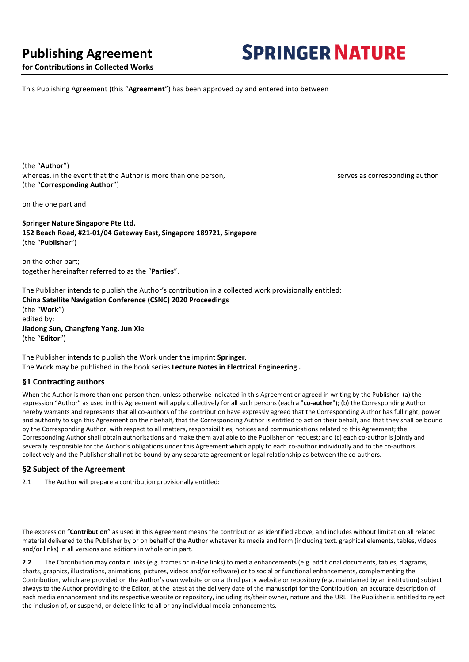# **Publishing Agreement**

# **SPRINGER NATURE**

**for Contributions in Collected Works**

This Publishing Agreement (this "**Agreement**") has been approved by and entered into between

(the "**Author**") whereas, in the event that the Author is more than one person, serves as corresponding author version of the Author is more than one person, (the "**Corresponding Author**")

on the one part and

**Springer Nature Singapore Pte Ltd. 152 Beach Road, #21-01/04 Gateway East, Singapore 189721, Singapore**  (the "**Publisher**")

on the other part; together hereinafter referred to as the "**Parties**".

The Publisher intends to publish the Author's contribution in a collected work provisionally entitled: **China Satellite Navigation Conference (CSNC) 2020 Proceedings**  (the "**Work**") edited by: **Jiadong Sun, Changfeng Yang, Jun Xie**  (the "**Editor**")

The Publisher intends to publish the Work under the imprint **Springer**. The Work may be published in the book series **Lecture Notes in Electrical Engineering .**

# **§1 Contracting authors**

When the Author is more than one person then, unless otherwise indicated in this Agreement or agreed in writing by the Publisher: (a) the expression "Author" as used in this Agreement will apply collectively for all such persons (each a "**co-author**"); (b) the Corresponding Author hereby warrants and represents that all co-authors of the contribution have expressly agreed that the Corresponding Author has full right, power and authority to sign this Agreement on their behalf, that the Corresponding Author is entitled to act on their behalf, and that they shall be bound by the Corresponding Author, with respect to all matters, responsibilities, notices and communications related to this Agreement; the Corresponding Author shall obtain authorisations and make them available to the Publisher on request; and (c) each co-author is jointly and severally responsible for the Author's obligations under this Agreement which apply to each co-author individually and to the co-authors collectively and the Publisher shall not be bound by any separate agreement or legal relationship as between the co-authors.

# **§2 Subject of the Agreement**

2.1 The Author will prepare a contribution provisionally entitled:

The expression "**Contribution**" as used in this Agreement means the contribution as identified above, and includes without limitation all related material delivered to the Publisher by or on behalf of the Author whatever its media and form (including text, graphical elements, tables, videos and/or links) in all versions and editions in whole or in part.

**2.2** The Contribution may contain links (e.g. frames or in-line links) to media enhancements (e.g. additional documents, tables, diagrams, charts, graphics, illustrations, animations, pictures, videos and/or software) or to social or functional enhancements, complementing the Contribution, which are provided on the Author's own website or on a third party website or repository (e.g. maintained by an institution) subject always to the Author providing to the Editor, at the latest at the delivery date of the manuscript for the Contribution, an accurate description of each media enhancement and its respective website or repository, including its/their owner, nature and the URL. The Publisher is entitled to reject the inclusion of, or suspend, or delete links to all or any individual media enhancements.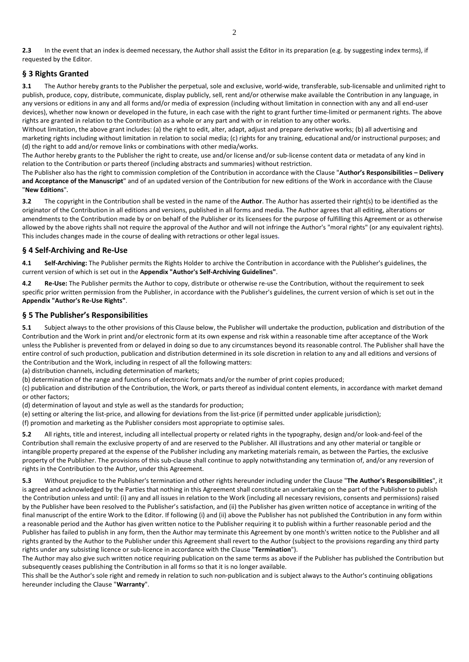**2.3** In the event that an index is deemed necessary, the Author shall assist the Editor in its preparation (e.g. by suggesting index terms), if requested by the Editor.

# **§ 3 Rights Granted**

**3.1** The Author hereby grants to the Publisher the perpetual, sole and exclusive, world-wide, transferable, sub-licensable and unlimited right to publish, produce, copy, distribute, communicate, display publicly, sell, rent and/or otherwise make available the Contribution in any language, in any versions or editions in any and all forms and/or media of expression (including without limitation in connection with any and all end-user devices), whether now known or developed in the future, in each case with the right to grant further time-limited or permanent rights. The above rights are granted in relation to the Contribution as a whole or any part and with or in relation to any other works.

Without limitation, the above grant includes: (a) the right to edit, alter, adapt, adjust and prepare derivative works; (b) all advertising and marketing rights including without limitation in relation to social media; (c) rights for any training, educational and/or instructional purposes; and (d) the right to add and/or remove links or combinations with other media/works.

The Author hereby grants to the Publisher the right to create, use and/or license and/or sub-license content data or metadata of any kind in relation to the Contribution or parts thereof (including abstracts and summaries) without restriction.

The Publisher also has the right to commission completion of the Contribution in accordance with the Clause "**Author's Responsibilities – Delivery and Acceptance of the Manuscript**" and of an updated version of the Contribution for new editions of the Work in accordance with the Clause "**New Editions**"**.**

**3.2** The copyright in the Contribution shall be vested in the name of the **Author**. The Author has asserted their right(s) to be identified as the originator of the Contribution in all editions and versions, published in all forms and media. The Author agrees that all editing, alterations or amendments to the Contribution made by or on behalf of the Publisher or its licensees for the purpose of fulfilling this Agreement or as otherwise allowed by the above rights shall not require the approval of the Author and will not infringe the Author's "moral rights" (or any equivalent rights). This includes changes made in the course of dealing with retractions or other legal issues**.**

# **§ 4 Self-Archiving and Re-Use**

**4.1 Self-Archiving:** The Publisher permits the Rights Holder to archive the Contribution in accordance with the Publisher's guidelines, the current version of which is set out in the **Appendix "Author's Self-Archiving Guidelines"**.

**4.2 Re-Use:** The Publisher permits the Author to copy, distribute or otherwise re-use the Contribution, without the requirement to seek specific prior written permission from the Publisher, in accordance with the Publisher's guidelines, the current version of which is set out in the **Appendix "Author's Re-Use Rights"**.

# **§ 5 The Publisher's Responsibilities**

**5.1** Subject always to the other provisions of this Clause below, the Publisher will undertake the production, publication and distribution of the Contribution and the Work in print and/or electronic form at its own expense and risk within a reasonable time after acceptance of the Work unless the Publisher is prevented from or delayed in doing so due to any circumstances beyond its reasonable control. The Publisher shall have the entire control of such production, publication and distribution determined in its sole discretion in relation to any and all editions and versions of the Contribution and the Work, including in respect of all the following matters:

(a) distribution channels, including determination of markets;

(b) determination of the range and functions of electronic formats and/or the number of print copies produced;

(c) publication and distribution of the Contribution, the Work, or parts thereof as individual content elements, in accordance with market demand or other factors;

(d) determination of layout and style as well as the standards for production;

(e) setting or altering the list-price, and allowing for deviations from the list-price (if permitted under applicable jurisdiction);

(f) promotion and marketing as the Publisher considers most appropriate to optimise sales.

**5.2** All rights, title and interest, including all intellectual property or related rights in the typography, design and/or look-and-feel of the Contribution shall remain the exclusive property of and are reserved to the Publisher. All illustrations and any other material or tangible or intangible property prepared at the expense of the Publisher including any marketing materials remain, as between the Parties, the exclusive property of the Publisher. The provisions of this sub-clause shall continue to apply notwithstanding any termination of, and/or any reversion of rights in the Contribution to the Author, under this Agreement.

**5.3** Without prejudice to the Publisher's termination and other rights hereunder including under the Clause "**The Author's Responsibilities**", it is agreed and acknowledged by the Parties that nothing in this Agreement shall constitute an undertaking on the part of the Publisher to publish the Contribution unless and until: (i) any and all issues in relation to the Work (including all necessary revisions, consents and permissions) raised by the Publisher have been resolved to the Publisher's satisfaction, and (ii) the Publisher has given written notice of acceptance in writing of the final manuscript of the entire Work to the Editor. If following (i) and (ii) above the Publisher has not published the Contribution in any form within a reasonable period and the Author has given written notice to the Publisher requiring it to publish within a further reasonable period and the Publisher has failed to publish in any form, then the Author may terminate this Agreement by one month's written notice to the Publisher and all rights granted by the Author to the Publisher under this Agreement shall revert to the Author (subject to the provisions regarding any third party rights under any subsisting licence or sub-licence in accordance with the Clause "**Termination**").

The Author may also give such written notice requiring publication on the same terms as above if the Publisher has published the Contribution but subsequently ceases publishing the Contribution in all forms so that it is no longer available.

This shall be the Author's sole right and remedy in relation to such non-publication and is subject always to the Author's continuing obligations hereunder including the Clause "**Warranty**".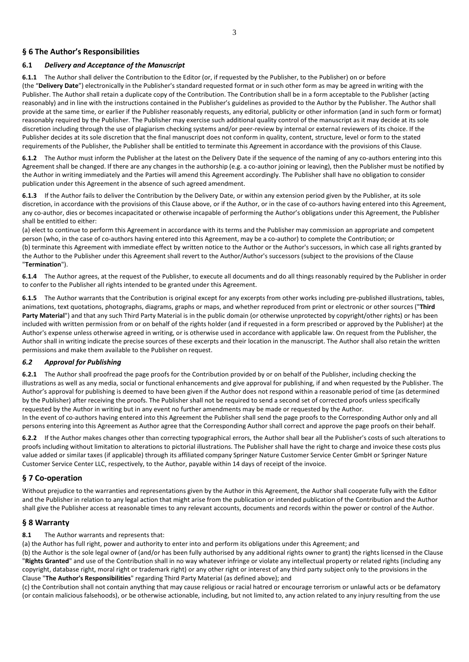# **§ 6 The Author's Responsibilities**

# **6.1** *Delivery and Acceptance of the Manuscript*

**6.1.1** The Author shall deliver the Contribution to the Editor (or, if requested by the Publisher, to the Publisher) on or before (the "**Delivery Date**") electronically in the Publisher's standard requested format or in such other form as may be agreed in writing with the Publisher. The Author shall retain a duplicate copy of the Contribution. The Contribution shall be in a form acceptable to the Publisher (acting reasonably) and in line with the instructions contained in the Publisher's guidelines as provided to the Author by the Publisher. The Author shall provide at the same time, or earlier if the Publisher reasonably requests, any editorial, publicity or other information (and in such form or format) reasonably required by the Publisher. The Publisher may exercise such additional quality control of the manuscript as it may decide at its sole discretion including through the use of plagiarism checking systems and/or peer-review by internal or external reviewers of its choice. If the Publisher decides at its sole discretion that the final manuscript does not conform in quality, content, structure, level or form to the stated requirements of the Publisher, the Publisher shall be entitled to terminate this Agreement in accordance with the provisions of this Clause.

**6.1.2** The Author must inform the Publisher at the latest on the Delivery Date if the sequence of the naming of any co-authors entering into this Agreement shall be changed. If there are any changes in the authorship (e.g. a co-author joining or leaving), then the Publisher must be notified by the Author in writing immediately and the Parties will amend this Agreement accordingly. The Publisher shall have no obligation to consider publication under this Agreement in the absence of such agreed amendment.

**6.1.3** If the Author fails to deliver the Contribution by the Delivery Date, or within any extension period given by the Publisher, at its sole discretion, in accordance with the provisions of this Clause above, or if the Author, or in the case of co-authors having entered into this Agreement, any co-author, dies or becomes incapacitated or otherwise incapable of performing the Author's obligations under this Agreement, the Publisher shall be entitled to either:

(a) elect to continue to perform this Agreement in accordance with its terms and the Publisher may commission an appropriate and competent person (who, in the case of co-authors having entered into this Agreement, may be a co-author) to complete the Contribution; or (b) terminate this Agreement with immediate effect by written notice to the Author or the Author's successors, in which case all rights granted by the Author to the Publisher under this Agreement shall revert to the Author/Author's successors (subject to the provisions of the Clause "**Termination**").

**6.1.4** The Author agrees, at the request of the Publisher, to execute all documents and do all things reasonably required by the Publisher in order to confer to the Publisher all rights intended to be granted under this Agreement.

**6.1.5** The Author warrants that the Contribution is original except for any excerpts from other works including pre-published illustrations, tables, animations, text quotations, photographs, diagrams, graphs or maps, and whether reproduced from print or electronic or other sources ("**Third Party Material**") and that any such Third Party Material is in the public domain (or otherwise unprotected by copyright/other rights) or has been included with written permission from or on behalf of the rights holder (and if requested in a form prescribed or approved by the Publisher) at the Author's expense unless otherwise agreed in writing, or is otherwise used in accordance with applicable law. On request from the Publisher, the Author shall in writing indicate the precise sources of these excerpts and their location in the manuscript. The Author shall also retain the written permissions and make them available to the Publisher on request.

# *6.2 Approval for Publishing*

**6.2.1** The Author shall proofread the page proofs for the Contribution provided by or on behalf of the Publisher, including checking the illustrations as well as any media, social or functional enhancements and give approval for publishing, if and when requested by the Publisher. The Author's approval for publishing is deemed to have been given if the Author does not respond within a reasonable period of time (as determined by the Publisher) after receiving the proofs. The Publisher shall not be required to send a second set of corrected proofs unless specifically requested by the Author in writing but in any event no further amendments may be made or requested by the Author. In the event of co-authors having entered into this Agreement the Publisher shall send the page proofs to the Corresponding Author only and all persons entering into this Agreement as Author agree that the Corresponding Author shall correct and approve the page proofs on their behalf.

**6.2.2** If the Author makes changes other than correcting typographical errors, the Author shall bear all the Publisher's costs of such alterations to proofs including without limitation to alterations to pictorial illustrations. The Publisher shall have the right to charge and invoice these costs plus value added or similar taxes (if applicable) through its affiliated company Springer Nature Customer Service Center GmbH or Springer Nature Customer Service Center LLC, respectively, to the Author, payable within 14 days of receipt of the invoice.

# **§ 7 Co-operation**

Without prejudice to the warranties and representations given by the Author in this Agreement, the Author shall cooperate fully with the Editor and the Publisher in relation to any legal action that might arise from the publication or intended publication of the Contribution and the Author shall give the Publisher access at reasonable times to any relevant accounts, documents and records within the power or control of the Author.

# **§ 8 Warranty**

# **8.1** The Author warrants and represents that:

(a) the Author has full right, power and authority to enter into and perform its obligations under this Agreement; and

(b) the Author is the sole legal owner of (and/or has been fully authorised by any additional rights owner to grant) the rights licensed in the Clause "**Rights Granted**" and use of the Contribution shall in no way whatever infringe or violate any intellectual property or related rights (including any copyright, database right, moral right or trademark right) or any other right or interest of any third party subject only to the provisions in the Clause "**The Author's Responsibilities**" regarding Third Party Material (as defined above); and

(c) the Contribution shall not contain anything that may cause religious or racial hatred or encourage terrorism or unlawful acts or be defamatory (or contain malicious falsehoods), or be otherwise actionable, including, but not limited to, any action related to any injury resulting from the use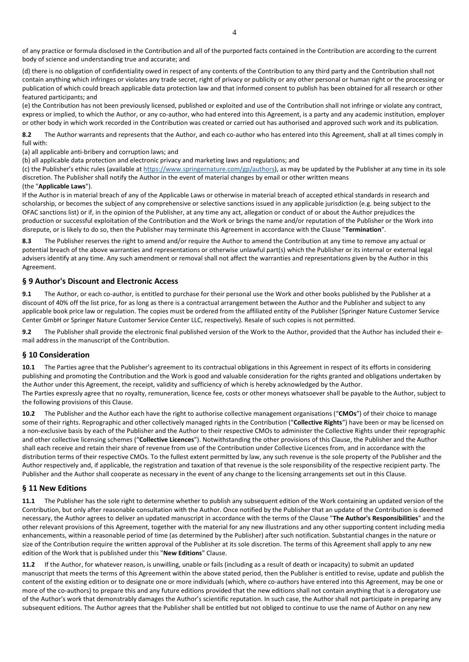of any practice or formula disclosed in the Contribution and all of the purported facts contained in the Contribution are according to the current body of science and understanding true and accurate; and

(d) there is no obligation of confidentiality owed in respect of any contents of the Contribution to any third party and the Contribution shall not contain anything which infringes or violates any trade secret, right of privacy or publicity or any other personal or human right or the processing or publication of which could breach applicable data protection law and that informed consent to publish has been obtained for all research or other featured participants; and

(e) the Contribution has not been previously licensed, published or exploited and use of the Contribution shall not infringe or violate any contract, express or implied, to which the Author, or any co-author, who had entered into this Agreement, is a party and any academic institution, employer or other body in which work recorded in the Contribution was created or carried out has authorised and approved such work and its publication.

**8.2** The Author warrants and represents that the Author, and each co-author who has entered into this Agreement, shall at all times comply in full with:

(a) all applicable anti-bribery and corruption laws; and

(b) all applicable data protection and electronic privacy and marketing laws and regulations; and

(c) the Publisher's ethic rules (available a[t https://www.springernature.com/gp/authors\)](https://www.springernature.com/gp/authors), as may be updated by the Publisher at any time in its sole discretion. The Publisher shall notify the Author in the event of material changes by email or other written means

#### (the "**Applicable Laws**").

If the Author is in material breach of any of the Applicable Laws or otherwise in material breach of accepted ethical standards in research and scholarship, or becomes the subject of any comprehensive or selective sanctions issued in any applicable jurisdiction (e.g. being subject to the OFAC sanctions list) or if, in the opinion of the Publisher, at any time any act, allegation or conduct of or about the Author prejudices the production or successful exploitation of the Contribution and the Work or brings the name and/or reputation of the Publisher or the Work into disrepute, or is likely to do so, then the Publisher may terminate this Agreement in accordance with the Clause "**Termination**".

**8.3** The Publisher reserves the right to amend and/or require the Author to amend the Contribution at any time to remove any actual or potential breach of the above warranties and representations or otherwise unlawful part(s) which the Publisher or its internal or external legal advisers identify at any time. Any such amendment or removal shall not affect the warranties and representations given by the Author in this Agreement.

#### **§ 9 Author's Discount and Electronic Access**

**9.1** The Author, or each co-author, is entitled to purchase for their personal use the Work and other books published by the Publisher at a discount of 40% off the list price, for as long as there is a contractual arrangement between the Author and the Publisher and subject to any applicable book price law or regulation. The copies must be ordered from the affiliated entity of the Publisher (Springer Nature Customer Service Center GmbH or Springer Nature Customer Service Center LLC, respectively). Resale of such copies is not permitted.

**9.2** The Publisher shall provide the electronic final published version of the Work to the Author, provided that the Author has included their email address in the manuscript of the Contribution.

#### **§ 10 Consideration**

**10.1** The Parties agree that the Publisher's agreement to its contractual obligations in this Agreement in respect of its efforts in considering publishing and promoting the Contribution and the Work is good and valuable consideration for the rights granted and obligations undertaken by the Author under this Agreement, the receipt, validity and sufficiency of which is hereby acknowledged by the Author. The Parties expressly agree that no royalty, remuneration, licence fee, costs or other moneys whatsoever shall be payable to the Author, subject to the following provisions of this Clause.

**10.2** The Publisher and the Author each have the right to authorise collective management organisations ("**CMOs**") of their choice to manage some of their rights. Reprographic and other collectively managed rights in the Contribution ("**Collective Rights**") have been or may be licensed on a non-exclusive basis by each of the Publisher and the Author to their respective CMOs to administer the Collective Rights under their reprographic and other collective licensing schemes ("**Collective Licences**"). Notwithstanding the other provisions of this Clause, the Publisher and the Author shall each receive and retain their share of revenue from use of the Contribution under Collective Licences from, and in accordance with the distribution terms of their respective CMOs. To the fullest extent permitted by law, any such revenue is the sole property of the Publisher and the Author respectively and, if applicable, the registration and taxation of that revenue is the sole responsibility of the respective recipient party. The Publisher and the Author shall cooperate as necessary in the event of any change to the licensing arrangements set out in this Clause.

#### **§ 11 New Editions**

**11.1** The Publisher has the sole right to determine whether to publish any subsequent edition of the Work containing an updated version of the Contribution, but only after reasonable consultation with the Author. Once notified by the Publisher that an update of the Contribution is deemed necessary, the Author agrees to deliver an updated manuscript in accordance with the terms of the Clause "**The Author's Responsibilities**" and the other relevant provisions of this Agreement, together with the material for any new illustrations and any other supporting content including media enhancements, within a reasonable period of time (as determined by the Publisher) after such notification. Substantial changes in the nature or size of the Contribution require the written approval of the Publisher at its sole discretion. The terms of this Agreement shall apply to any new edition of the Work that is published under this "**New Editions**" Clause.

**11.2** If the Author, for whatever reason, is unwilling, unable or fails (including as a result of death or incapacity) to submit an updated manuscript that meets the terms of this Agreement within the above stated period, then the Publisher is entitled to revise, update and publish the content of the existing edition or to designate one or more individuals (which, where co-authors have entered into this Agreement, may be one or more of the co-authors) to prepare this and any future editions provided that the new editions shall not contain anything that is a derogatory use of the Author's work that demonstrably damages the Author's scientific reputation. In such case, the Author shall not participate in preparing any subsequent editions. The Author agrees that the Publisher shall be entitled but not obliged to continue to use the name of Author on any new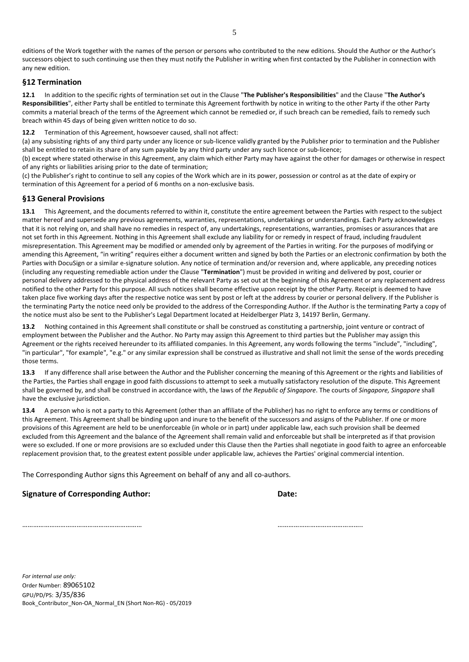editions of the Work together with the names of the person or persons who contributed to the new editions. Should the Author or the Author's successors object to such continuing use then they must notify the Publisher in writing when first contacted by the Publisher in connection with any new edition.

#### **§12 Termination**

**12.1** In addition to the specific rights of termination set out in the Clause "**The Publisher's Responsibilities**" and the Clause "**The Author's Responsibilities**", either Party shall be entitled to terminate this Agreement forthwith by notice in writing to the other Party if the other Party commits a material breach of the terms of the Agreement which cannot be remedied or, if such breach can be remedied, fails to remedy such breach within 45 days of being given written notice to do so.

**12.2** Termination of this Agreement, howsoever caused, shall not affect:

(a) any subsisting rights of any third party under any licence or sub-licence validly granted by the Publisher prior to termination and the Publisher shall be entitled to retain its share of any sum payable by any third party under any such licence or sub-licence;

(b) except where stated otherwise in this Agreement, any claim which either Party may have against the other for damages or otherwise in respect of any rights or liabilities arising prior to the date of termination;

(c) the Publisher's right to continue to sell any copies of the Work which are in its power, possession or control as at the date of expiry or termination of this Agreement for a period of 6 months on a non-exclusive basis.

# **§13 General Provisions**

**13.1** This Agreement, and the documents referred to within it, constitute the entire agreement between the Parties with respect to the subject matter hereof and supersede any previous agreements, warranties, representations, undertakings or understandings. Each Party acknowledges that it is not relying on, and shall have no remedies in respect of, any undertakings, representations, warranties, promises or assurances that are not set forth in this Agreement. Nothing in this Agreement shall exclude any liability for or remedy in respect of fraud, including fraudulent misrepresentation. This Agreement may be modified or amended only by agreement of the Parties in writing. For the purposes of modifying or amending this Agreement, "in writing" requires either a document written and signed by both the Parties or an electronic confirmation by both the Parties with DocuSign or a similar e-signature solution. Any notice of termination and/or reversion and, where applicable, any preceding notices (including any requesting remediable action under the Clause "**Termination**") must be provided in writing and delivered by post, courier or personal delivery addressed to the physical address of the relevant Party as set out at the beginning of this Agreement or any replacement address notified to the other Party for this purpose. All such notices shall become effective upon receipt by the other Party. Receipt is deemed to have taken place five working days after the respective notice was sent by post or left at the address by courier or personal delivery. If the Publisher is the terminating Party the notice need only be provided to the address of the Corresponding Author. If the Author is the terminating Party a copy of the notice must also be sent to the Publisher's Legal Department located at Heidelberger Platz 3, 14197 Berlin, Germany.

**13.2** Nothing contained in this Agreement shall constitute or shall be construed as constituting a partnership, joint venture or contract of employment between the Publisher and the Author. No Party may assign this Agreement to third parties but the Publisher may assign this Agreement or the rights received hereunder to its affiliated companies. In this Agreement, any words following the terms "include", "including", "in particular", "for example", "e.g." or any similar expression shall be construed as illustrative and shall not limit the sense of the words preceding those terms.

**13.3** If any difference shall arise between the Author and the Publisher concerning the meaning of this Agreement or the rights and liabilities of the Parties, the Parties shall engage in good faith discussions to attempt to seek a mutually satisfactory resolution of the dispute. This Agreement shall be governed by, and shall be construed in accordance with, the laws of *the Republic of Singapore*. The courts of *Singapore, Singapore* shall have the exclusive jurisdiction.

**13.4** A person who is not a party to this Agreement (other than an affiliate of the Publisher) has no right to enforce any terms or conditions of this Agreement. This Agreement shall be binding upon and inure to the benefit of the successors and assigns of the Publisher. If one or more provisions of this Agreement are held to be unenforceable (in whole or in part) under applicable law, each such provision shall be deemed excluded from this Agreement and the balance of the Agreement shall remain valid and enforceable but shall be interpreted as if that provision were so excluded. If one or more provisions are so excluded under this Clause then the Parties shall negotiate in good faith to agree an enforceable replacement provision that, to the greatest extent possible under applicable law, achieves the Parties' original commercial intention.

The Corresponding Author signs this Agreement on behalf of any and all co-authors.

# **Signature of Corresponding Author: Date:**

………………………………………………………… ………………………………………..

*For internal use only:* Order Number: 89065102 GPU/PD/PS: 3/35/836 Book\_Contributor\_Non-OA\_Normal\_EN (Short Non-RG) - 05/2019